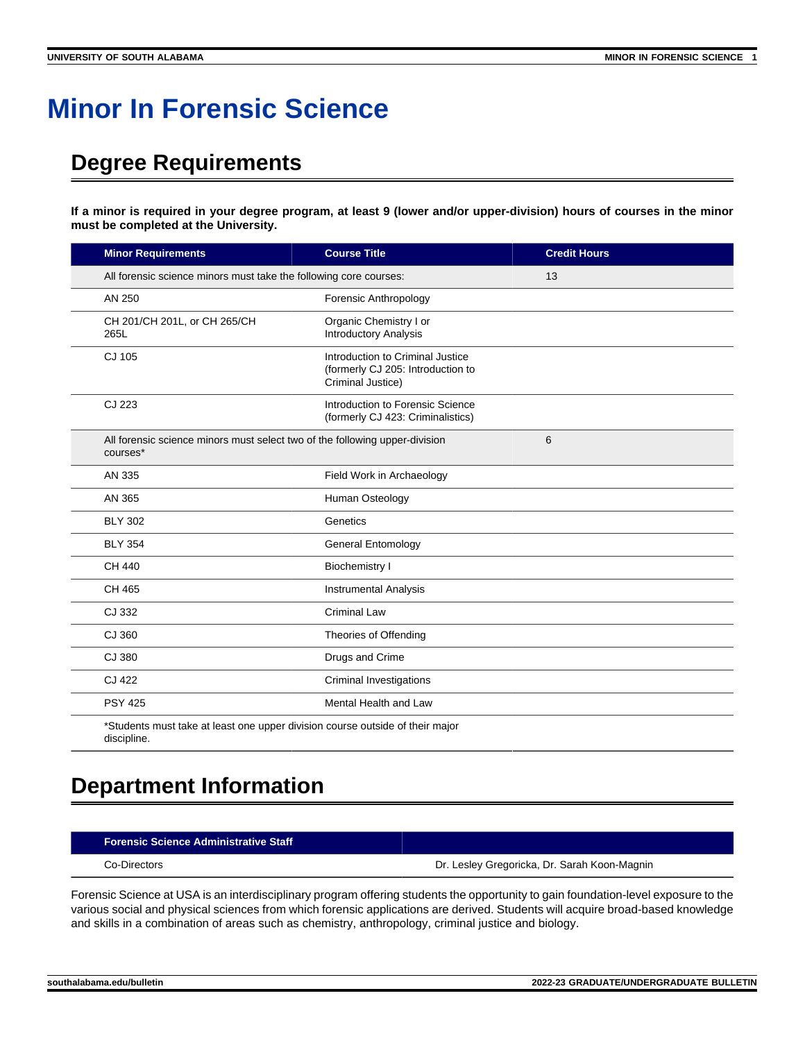## **Minor In Forensic Science**

## **Degree Requirements**

**If a minor is required in your degree program, at least 9 (lower and/or upper-division) hours of courses in the minor must be completed at the University.**

| <b>Credit Hours</b> |  |
|---------------------|--|
| 13                  |  |
|                     |  |
|                     |  |
|                     |  |
|                     |  |
| 6                   |  |
|                     |  |
|                     |  |
|                     |  |
|                     |  |
|                     |  |
|                     |  |
|                     |  |
|                     |  |
|                     |  |
|                     |  |
|                     |  |
|                     |  |

## **Department Information**

## **Forensic Science Administrative Staff**

Co-Directors Dr. Lesley Gregoricka, Dr. Sarah Koon-Magnin

Forensic Science at USA is an interdisciplinary program offering students the opportunity to gain foundation-level exposure to the various social and physical sciences from which forensic applications are derived. Students will acquire broad-based knowledge and skills in a combination of areas such as chemistry, anthropology, criminal justice and biology.